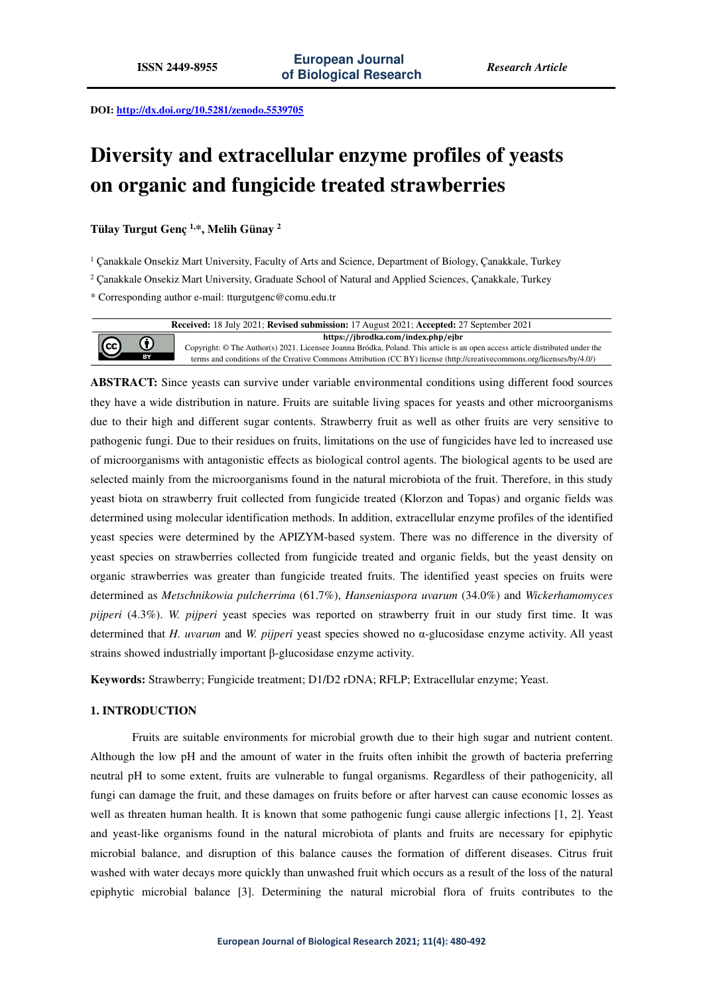**DOI: http://dx.doi.org/10.5281/zenodo.5539705** 

# **Diversity and extracellular enzyme profiles of yeasts on organic and fungicide treated strawberries**

**Tülay Turgut Genç 1,\*, Melih Günay <sup>2</sup>**

 $\left(\mathrm{cc}\right)$ 

1 Çanakkale Onsekiz Mart University, Faculty of Arts and Science, Department of Biology, Çanakkale, Turkey

2 Çanakkale Onsekiz Mart University, Graduate School of Natural and Applied Sciences, Çanakkale, Turkey

\* Corresponding author e-mail: tturgutgenc@comu.edu.tr

**Received:** 18 July 2021; **Revised submission:** 17 August 2021; **Accepted:** 27 September 2021 **https://jbrodka.com/index.php/ejbr** 0 Copyright: © The Author(s) 2021. Licensee Joanna Bródka, Poland. This article is an open access article distributed under the terms and conditions of the Creative Commons Attribution (CC BY) license (http://creativecommons.org/licenses/by/4.0/)

**ABSTRACT:** Since yeasts can survive under variable environmental conditions using different food sources they have a wide distribution in nature. Fruits are suitable living spaces for yeasts and other microorganisms due to their high and different sugar contents. Strawberry fruit as well as other fruits are very sensitive to pathogenic fungi. Due to their residues on fruits, limitations on the use of fungicides have led to increased use of microorganisms with antagonistic effects as biological control agents. The biological agents to be used are selected mainly from the microorganisms found in the natural microbiota of the fruit. Therefore, in this study yeast biota on strawberry fruit collected from fungicide treated (Klorzon and Topas) and organic fields was determined using molecular identification methods. In addition, extracellular enzyme profiles of the identified yeast species were determined by the APIZYM-based system. There was no difference in the diversity of yeast species on strawberries collected from fungicide treated and organic fields, but the yeast density on organic strawberries was greater than fungicide treated fruits. The identified yeast species on fruits were determined as *Metschnikowia pulcherrima* (61.7%), *Hanseniaspora uvarum* (34.0%) and *Wickerhamomyces pijperi* (4.3%). *W. pijperi* yeast species was reported on strawberry fruit in our study first time. It was determined that *H. uvarum* and *W. pijperi* yeast species showed no α-glucosidase enzyme activity. All yeast strains showed industrially important β-glucosidase enzyme activity.

**Keywords:** Strawberry; Fungicide treatment; D1/D2 rDNA; RFLP; Extracellular enzyme; Yeast.

# **1. INTRODUCTION**

Fruits are suitable environments for microbial growth due to their high sugar and nutrient content. Although the low pH and the amount of water in the fruits often inhibit the growth of bacteria preferring neutral pH to some extent, fruits are vulnerable to fungal organisms. Regardless of their pathogenicity, all fungi can damage the fruit, and these damages on fruits before or after harvest can cause economic losses as well as threaten human health. It is known that some pathogenic fungi cause allergic infections [1, 2]. Yeast and yeast-like organisms found in the natural microbiota of plants and fruits are necessary for epiphytic microbial balance, and disruption of this balance causes the formation of different diseases. Citrus fruit washed with water decays more quickly than unwashed fruit which occurs as a result of the loss of the natural epiphytic microbial balance [3]. Determining the natural microbial flora of fruits contributes to the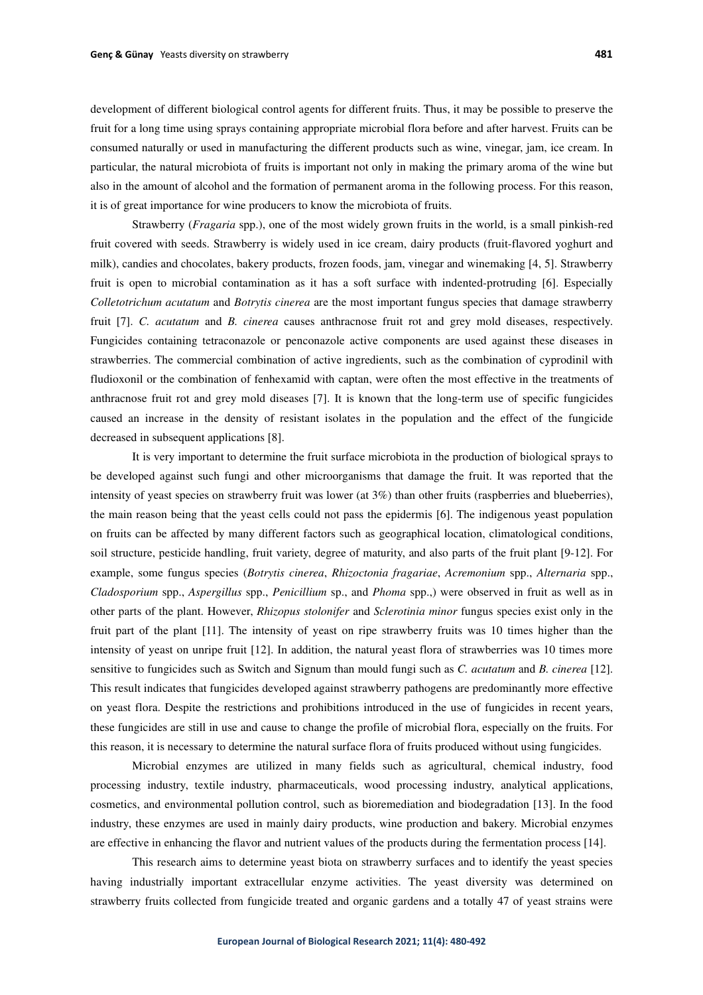development of different biological control agents for different fruits. Thus, it may be possible to preserve the fruit for a long time using sprays containing appropriate microbial flora before and after harvest. Fruits can be consumed naturally or used in manufacturing the different products such as wine, vinegar, jam, ice cream. In particular, the natural microbiota of fruits is important not only in making the primary aroma of the wine but also in the amount of alcohol and the formation of permanent aroma in the following process. For this reason, it is of great importance for wine producers to know the microbiota of fruits.

Strawberry (*Fragaria* spp.), one of the most widely grown fruits in the world, is a small pinkish-red fruit covered with seeds. Strawberry is widely used in ice cream, dairy products (fruit-flavored yoghurt and milk), candies and chocolates, bakery products, frozen foods, jam, vinegar and winemaking [4, 5]. Strawberry fruit is open to microbial contamination as it has a soft surface with indented-protruding [6]. Especially *Colletotrichum acutatum* and *Botrytis cinerea* are the most important fungus species that damage strawberry fruit [7]. *C. acutatum* and *B. cinerea* causes anthracnose fruit rot and grey mold diseases, respectively. Fungicides containing tetraconazole or penconazole active components are used against these diseases in strawberries. The commercial combination of active ingredients, such as the combination of cyprodinil with fludioxonil or the combination of fenhexamid with captan, were often the most effective in the treatments of anthracnose fruit rot and grey mold diseases [7]. It is known that the long-term use of specific fungicides caused an increase in the density of resistant isolates in the population and the effect of the fungicide decreased in subsequent applications [8].

It is very important to determine the fruit surface microbiota in the production of biological sprays to be developed against such fungi and other microorganisms that damage the fruit. It was reported that the intensity of yeast species on strawberry fruit was lower (at  $3\%$ ) than other fruits (raspberries and blueberries), the main reason being that the yeast cells could not pass the epidermis [6]. The indigenous yeast population on fruits can be affected by many different factors such as geographical location, climatological conditions, soil structure, pesticide handling, fruit variety, degree of maturity, and also parts of the fruit plant [9-12]. For example, some fungus species (*Botrytis cinerea*, *Rhizoctonia fragariae*, *Acremonium* spp., *Alternaria* spp., *Cladosporium* spp., *Aspergillus* spp., *Penicillium* sp., and *Phoma* spp.,) were observed in fruit as well as in other parts of the plant. However, *Rhizopus stolonifer* and *Sclerotinia minor* fungus species exist only in the fruit part of the plant [11]. The intensity of yeast on ripe strawberry fruits was 10 times higher than the intensity of yeast on unripe fruit [12]. In addition, the natural yeast flora of strawberries was 10 times more sensitive to fungicides such as Switch and Signum than mould fungi such as *C. acutatum* and *B. cinerea* [12]. This result indicates that fungicides developed against strawberry pathogens are predominantly more effective on yeast flora. Despite the restrictions and prohibitions introduced in the use of fungicides in recent years, these fungicides are still in use and cause to change the profile of microbial flora, especially on the fruits. For this reason, it is necessary to determine the natural surface flora of fruits produced without using fungicides.

Microbial enzymes are utilized in many fields such as agricultural, chemical industry, food processing industry, textile industry, pharmaceuticals, wood processing industry, analytical applications, cosmetics, and environmental pollution control, such as bioremediation and biodegradation [13]. In the food industry, these enzymes are used in mainly dairy products, wine production and bakery. Microbial enzymes are effective in enhancing the flavor and nutrient values of the products during the fermentation process [14].

This research aims to determine yeast biota on strawberry surfaces and to identify the yeast species having industrially important extracellular enzyme activities. The yeast diversity was determined on strawberry fruits collected from fungicide treated and organic gardens and a totally 47 of yeast strains were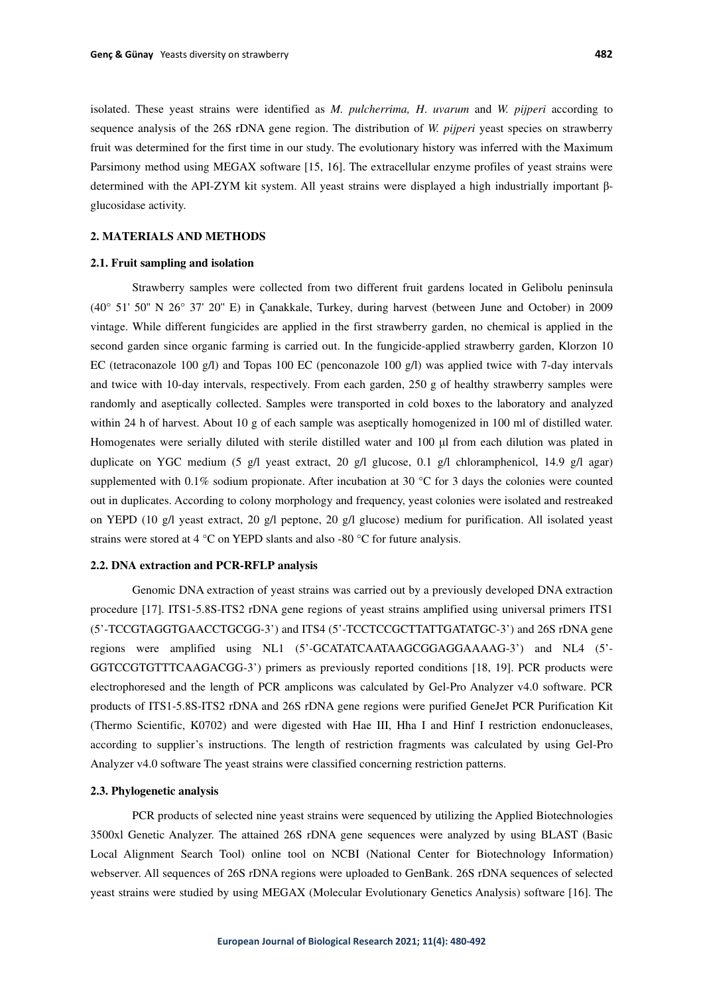isolated. These yeast strains were identified as *M. pulcherrima, H*. *uvarum* and *W. pijperi* according to sequence analysis of the 26S rDNA gene region. The distribution of *W. pijperi* yeast species on strawberry fruit was determined for the first time in our study. The evolutionary history was inferred with the Maximum Parsimony method using MEGAX software [15, 16]. The extracellular enzyme profiles of yeast strains were determined with the API-ZYM kit system. All yeast strains were displayed a high industrially important βglucosidase activity.

# **2. MATERIALS AND METHODS**

#### **2.1. Fruit sampling and isolation**

Strawberry samples were collected from two different fruit gardens located in Gelibolu peninsula (40° 51' 50'' N 26° 37' 20'' E) in Çanakkale, Turkey, during harvest (between June and October) in 2009 vintage. While different fungicides are applied in the first strawberry garden, no chemical is applied in the second garden since organic farming is carried out. In the fungicide-applied strawberry garden, Klorzon 10 EC (tetraconazole 100 g/l) and Topas 100 EC (penconazole 100 g/l) was applied twice with 7-day intervals and twice with 10-day intervals, respectively. From each garden, 250 g of healthy strawberry samples were randomly and aseptically collected. Samples were transported in cold boxes to the laboratory and analyzed within 24 h of harvest. About 10 g of each sample was aseptically homogenized in 100 ml of distilled water. Homogenates were serially diluted with sterile distilled water and 100 μl from each dilution was plated in duplicate on YGC medium (5 g/l yeast extract, 20 g/l glucose, 0.1 g/l chloramphenicol, 14.9 g/l agar) supplemented with 0.1% sodium propionate. After incubation at 30 °C for 3 days the colonies were counted out in duplicates. According to colony morphology and frequency, yeast colonies were isolated and restreaked on YEPD (10 g/l yeast extract, 20 g/l peptone, 20 g/l glucose) medium for purification. All isolated yeast strains were stored at 4 °C on YEPD slants and also -80 °C for future analysis.

# **2.2. DNA extraction and PCR-RFLP analysis**

Genomic DNA extraction of yeast strains was carried out by a previously developed DNA extraction procedure [17]. ITS1-5.8S-ITS2 rDNA gene regions of yeast strains amplified using universal primers ITS1 (5'-TCCGTAGGTGAACCTGCGG-3') and ITS4 (5'-TCCTCCGCTTATTGATATGC-3') and 26S rDNA gene regions were amplified using NL1 (5'-GCATATCAATAAGCGGAGGAAAAG-3') and NL4 (5'- GGTCCGTGTTTCAAGACGG-3') primers as previously reported conditions [18, 19]. PCR products were electrophoresed and the length of PCR amplicons was calculated by Gel-Pro Analyzer v4.0 software. PCR products of ITS1-5.8S-ITS2 rDNA and 26S rDNA gene regions were purified GeneJet PCR Purification Kit (Thermo Scientific, K0702) and were digested with Hae III, Hha I and Hinf I restriction endonucleases, according to supplier's instructions. The length of restriction fragments was calculated by using Gel-Pro Analyzer v4.0 software The yeast strains were classified concerning restriction patterns.

#### **2.3. Phylogenetic analysis**

PCR products of selected nine yeast strains were sequenced by utilizing the Applied Biotechnologies 3500xl Genetic Analyzer. The attained 26S rDNA gene sequences were analyzed by using BLAST (Basic Local Alignment Search Tool) online tool on NCBI (National Center for Biotechnology Information) webserver. All sequences of 26S rDNA regions were uploaded to GenBank. 26S rDNA sequences of selected yeast strains were studied by using MEGAX (Molecular Evolutionary Genetics Analysis) software [16]. The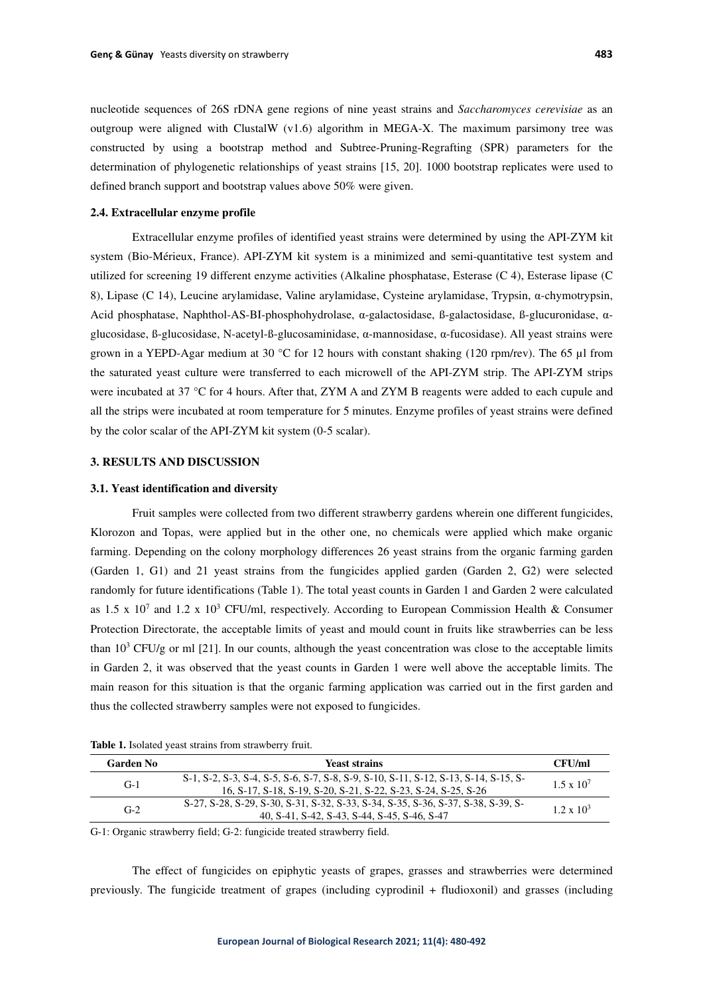nucleotide sequences of 26S rDNA gene regions of nine yeast strains and *Saccharomyces cerevisiae* as an outgroup were aligned with ClustalW (v1.6) algorithm in MEGA-X. The maximum parsimony tree was constructed by using a bootstrap method and Subtree-Pruning-Regrafting (SPR) parameters for the determination of phylogenetic relationships of yeast strains [15, 20]. 1000 bootstrap replicates were used to defined branch support and bootstrap values above 50% were given.

## **2.4. Extracellular enzyme profile**

Extracellular enzyme profiles of identified yeast strains were determined by using the API-ZYM kit system (Bio-Mérieux, France). API-ZYM kit system is a minimized and semi-quantitative test system and utilized for screening 19 different enzyme activities (Alkaline phosphatase, Esterase (C 4), Esterase lipase (C 8), Lipase (C 14), Leucine arylamidase, Valine arylamidase, Cysteine arylamidase, Trypsin, α-chymotrypsin, Acid phosphatase, Naphthol-AS-BI-phosphohydrolase, α-galactosidase, ß-galactosidase, ß-glucuronidase, αglucosidase, ß-glucosidase, N-acetyl-ß-glucosaminidase, α-mannosidase, α-fucosidase). All yeast strains were grown in a YEPD-Agar medium at 30 °C for 12 hours with constant shaking (120 rpm/rev). The 65  $\mu$ I from the saturated yeast culture were transferred to each microwell of the API-ZYM strip. The API-ZYM strips were incubated at 37 °C for 4 hours. After that, ZYM A and ZYM B reagents were added to each cupule and all the strips were incubated at room temperature for 5 minutes. Enzyme profiles of yeast strains were defined by the color scalar of the API-ZYM kit system (0-5 scalar).

# **3. RESULTS AND DISCUSSION**

#### **3.1. Yeast identification and diversity**

Fruit samples were collected from two different strawberry gardens wherein one different fungicides, Klorozon and Topas, were applied but in the other one, no chemicals were applied which make organic farming. Depending on the colony morphology differences 26 yeast strains from the organic farming garden (Garden 1, G1) and 21 yeast strains from the fungicides applied garden (Garden 2, G2) were selected randomly for future identifications (Table 1). The total yeast counts in Garden 1 and Garden 2 were calculated as 1.5 x 10<sup>7</sup> and 1.2 x 10<sup>3</sup> CFU/ml, respectively. According to European Commission Health & Consumer Protection Directorate, the acceptable limits of yeast and mould count in fruits like strawberries can be less than  $10<sup>3</sup>$  CFU/g or ml [21]. In our counts, although the yeast concentration was close to the acceptable limits in Garden 2, it was observed that the yeast counts in Garden 1 were well above the acceptable limits. The main reason for this situation is that the organic farming application was carried out in the first garden and thus the collected strawberry samples were not exposed to fungicides.

| Garden No | Yeast strains                                                                                                                                         | CFU/ml              |
|-----------|-------------------------------------------------------------------------------------------------------------------------------------------------------|---------------------|
| $G-1$     | S-1, S-2, S-3, S-4, S-5, S-6, S-7, S-8, S-9, S-10, S-11, S-12, S-13, S-14, S-15, S-<br>16, S-17, S-18, S-19, S-20, S-21, S-22, S-23, S-24, S-25, S-26 | $1.5 \times 10^{7}$ |
| $G-2$     | S-27, S-28, S-29, S-30, S-31, S-32, S-33, S-34, S-35, S-36, S-37, S-38, S-39, S-<br>40, S-41, S-42, S-43, S-44, S-45, S-46, S-47                      | $1.2 \times 10^3$   |

**Table 1.** Isolated yeast strains from strawberry fruit.

G-1: Organic strawberry field; G-2: fungicide treated strawberry field.

The effect of fungicides on epiphytic yeasts of grapes, grasses and strawberries were determined previously. The fungicide treatment of grapes (including cyprodinil + fludioxonil) and grasses (including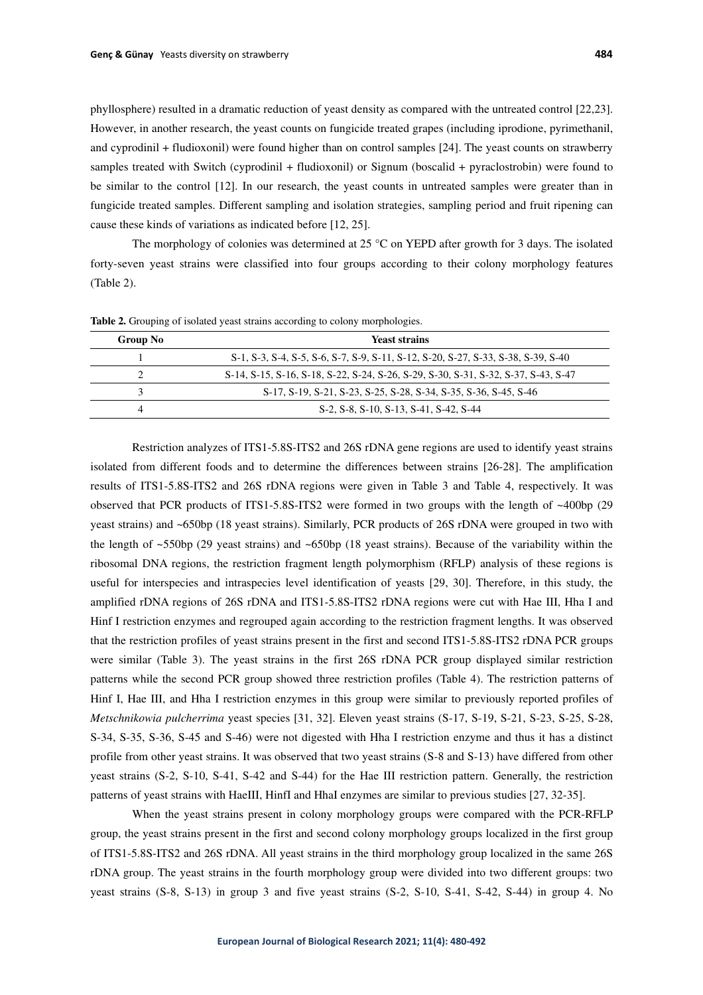phyllosphere) resulted in a dramatic reduction of yeast density as compared with the untreated control [22,23]. However, in another research, the yeast counts on fungicide treated grapes (including iprodione, pyrimethanil, and cyprodinil + fludioxonil) were found higher than on control samples [24]. The yeast counts on strawberry samples treated with Switch (cyprodinil + fludioxonil) or Signum (boscalid + pyraclostrobin) were found to be similar to the control [12]. In our research, the yeast counts in untreated samples were greater than in fungicide treated samples. Different sampling and isolation strategies, sampling period and fruit ripening can cause these kinds of variations as indicated before [12, 25].

The morphology of colonies was determined at 25 °C on YEPD after growth for 3 days. The isolated forty-seven yeast strains were classified into four groups according to their colony morphology features (Table 2).

| <b>Group No</b> | <b>Yeast strains</b>                                                               |
|-----------------|------------------------------------------------------------------------------------|
|                 | S-1, S-3, S-4, S-5, S-6, S-7, S-9, S-11, S-12, S-20, S-27, S-33, S-38, S-39, S-40  |
|                 | S-14, S-15, S-16, S-18, S-22, S-24, S-26, S-29, S-30, S-31, S-32, S-37, S-43, S-47 |
|                 | S-17, S-19, S-21, S-23, S-25, S-28, S-34, S-35, S-36, S-45, S-46                   |
|                 | S-2, S-8, S-10, S-13, S-41, S-42, S-44                                             |

**Table 2.** Grouping of isolated yeast strains according to colony morphologies.

Restriction analyzes of ITS1-5.8S-ITS2 and 26S rDNA gene regions are used to identify yeast strains isolated from different foods and to determine the differences between strains [26-28]. The amplification results of ITS1-5.8S-ITS2 and 26S rDNA regions were given in Table 3 and Table 4, respectively. It was observed that PCR products of ITS1-5.8S-ITS2 were formed in two groups with the length of  $\sim$ 400bp (29 yeast strains) and ~650bp (18 yeast strains). Similarly, PCR products of 26S rDNA were grouped in two with the length of ~550bp (29 yeast strains) and ~650bp (18 yeast strains). Because of the variability within the ribosomal DNA regions, the restriction fragment length polymorphism (RFLP) analysis of these regions is useful for interspecies and intraspecies level identification of yeasts [29, 30]. Therefore, in this study, the amplified rDNA regions of 26S rDNA and ITS1-5.8S-ITS2 rDNA regions were cut with Hae III, Hha I and Hinf I restriction enzymes and regrouped again according to the restriction fragment lengths. It was observed that the restriction profiles of yeast strains present in the first and second ITS1-5.8S-ITS2 rDNA PCR groups were similar (Table 3). The yeast strains in the first 26S rDNA PCR group displayed similar restriction patterns while the second PCR group showed three restriction profiles (Table 4). The restriction patterns of Hinf I, Hae III, and Hha I restriction enzymes in this group were similar to previously reported profiles of *Metschnikowia pulcherrima* yeast species [31, 32]. Eleven yeast strains (S-17, S-19, S-21, S-23, S-25, S-28, S-34, S-35, S-36, S-45 and S-46) were not digested with Hha I restriction enzyme and thus it has a distinct profile from other yeast strains. It was observed that two yeast strains (S-8 and S-13) have differed from other yeast strains (S-2, S-10, S-41, S-42 and S-44) for the Hae III restriction pattern. Generally, the restriction patterns of yeast strains with HaeIII, HinfI and HhaI enzymes are similar to previous studies [27, 32-35].

When the yeast strains present in colony morphology groups were compared with the PCR-RFLP group, the yeast strains present in the first and second colony morphology groups localized in the first group of ITS1-5.8S-ITS2 and 26S rDNA. All yeast strains in the third morphology group localized in the same 26S rDNA group. The yeast strains in the fourth morphology group were divided into two different groups: two yeast strains (S-8, S-13) in group 3 and five yeast strains (S-2, S-10, S-41, S-42, S-44) in group 4. No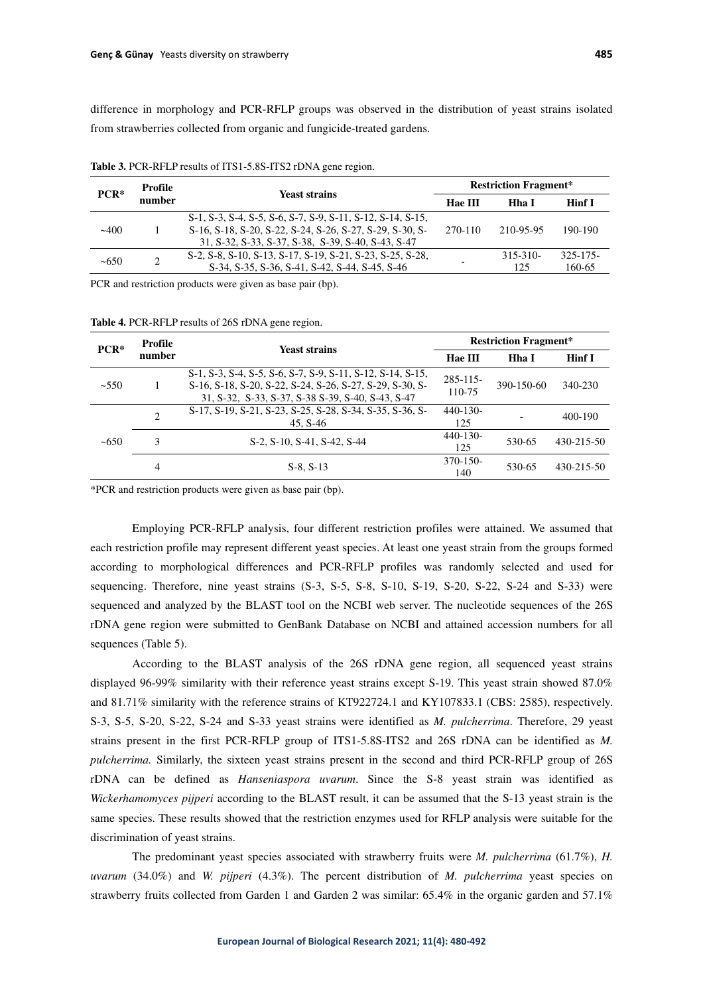difference in morphology and PCR-RFLP groups was observed in the distribution of yeast strains isolated from strawberries collected from organic and fungicide-treated gardens.

| $PCR*$ | Profile | <b>Yeast strains</b>                                                                                                                                                         | <b>Restriction Fragment*</b> |                      |                    |  |  |
|--------|---------|------------------------------------------------------------------------------------------------------------------------------------------------------------------------------|------------------------------|----------------------|--------------------|--|--|
|        | number  |                                                                                                                                                                              | <b>Hae III</b>               | Hha I                | Hinf I             |  |  |
| $-400$ |         | S-1, S-3, S-4, S-5, S-6, S-7, S-9, S-11, S-12, S-14, S-15,<br>S-16, S-18, S-20, S-22, S-24, S-26, S-27, S-29, S-30, S-<br>31, S-32, S-33, S-37, S-38, S-39, S-40, S-43, S-47 | 270-110                      | 210-95-95            | 190-190            |  |  |
| ~100   | ◠       | S-2, S-8, S-10, S-13, S-17, S-19, S-21, S-23, S-25, S-28,<br>S-34, S-35, S-36, S-41, S-42, S-44, S-45, S-46                                                                  |                              | $315 - 310 -$<br>125 | 325-175-<br>160-65 |  |  |

**Table 3.** PCR-RFLP results of ITS1-5.8S-ITS2 rDNA gene region.

PCR and restriction products were given as base pair (bp).

**Table 4.** PCR-RFLP results of 26S rDNA gene region.

| $PCR*$ | <b>Profile</b> | <b>Yeast strains</b>                                                                                                                                                        | <b>Restriction Fragment*</b> |            |            |  |  |
|--------|----------------|-----------------------------------------------------------------------------------------------------------------------------------------------------------------------------|------------------------------|------------|------------|--|--|
|        | number         |                                                                                                                                                                             | <b>Hae III</b><br>Hha I      |            | Hinf I     |  |  |
| ~1550  |                | S-1, S-3, S-4, S-5, S-6, S-7, S-9, S-11, S-12, S-14, S-15,<br>S-16, S-18, S-20, S-22, S-24, S-26, S-27, S-29, S-30, S-<br>31, S-32, S-33, S-37, S-38 S-39, S-40, S-43, S-47 | $285 - 115$<br>110-75        | 390-150-60 | 340-230    |  |  |
| ~100   | $\overline{c}$ | S-17, S-19, S-21, S-23, S-25, S-28, S-34, S-35, S-36, S-<br>45. S-46                                                                                                        | $440-130-$<br>125            |            | 400-190    |  |  |
|        | 3              | S-2, S-10, S-41, S-42, S-44                                                                                                                                                 | $440 - 130 -$<br>125         | 530-65     | 430-215-50 |  |  |
|        | 4              | $S-8, S-13$                                                                                                                                                                 | 370-150-<br>140              | 530-65     | 430-215-50 |  |  |

\*PCR and restriction products were given as base pair (bp).

Employing PCR-RFLP analysis, four different restriction profiles were attained. We assumed that each restriction profile may represent different yeast species. At least one yeast strain from the groups formed according to morphological differences and PCR-RFLP profiles was randomly selected and used for sequencing. Therefore, nine yeast strains (S-3, S-5, S-8, S-10, S-19, S-20, S-22, S-24 and S-33) were sequenced and analyzed by the BLAST tool on the NCBI web server. The nucleotide sequences of the 26S rDNA gene region were submitted to GenBank Database on NCBI and attained accession numbers for all sequences (Table 5).

According to the BLAST analysis of the 26S rDNA gene region, all sequenced yeast strains displayed 96-99% similarity with their reference yeast strains except S-19. This yeast strain showed 87.0% and 81.71% similarity with the reference strains of KT922724.1 and KY107833.1 (CBS: 2585), respectively. S-3, S-5, S-20, S-22, S-24 and S-33 yeast strains were identified as *M. pulcherrima*. Therefore, 29 yeast strains present in the first PCR-RFLP group of ITS1-5.8S-ITS2 and 26S rDNA can be identified as *M. pulcherrima.* Similarly, the sixteen yeast strains present in the second and third PCR-RFLP group of 26S rDNA can be defined as *Hanseniaspora uvarum*. Since the S-8 yeast strain was identified as *Wickerhamomyces pijperi* according to the BLAST result, it can be assumed that the S-13 yeast strain is the same species. These results showed that the restriction enzymes used for RFLP analysis were suitable for the discrimination of yeast strains.

The predominant yeast species associated with strawberry fruits were *M. pulcherrima* (61.7%), *H. uvarum* (34.0%) and *W. pijperi* (4.3%). The percent distribution of *M. pulcherrima* yeast species on strawberry fruits collected from Garden 1 and Garden 2 was similar: 65.4% in the organic garden and 57.1%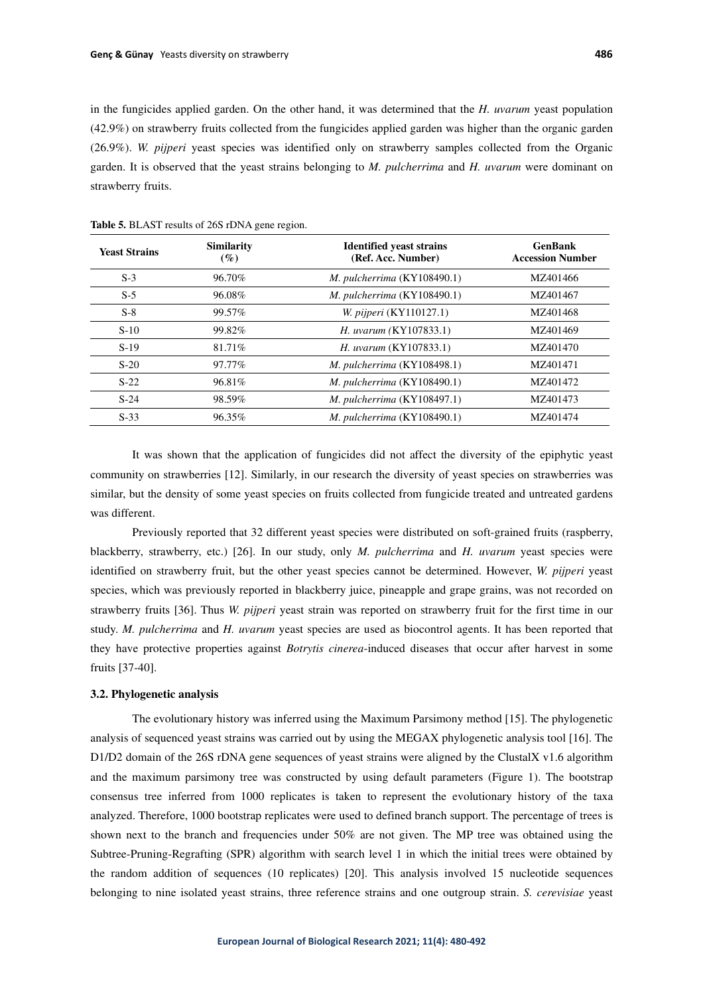in the fungicides applied garden. On the other hand, it was determined that the *H. uvarum* yeast population (42.9%) on strawberry fruits collected from the fungicides applied garden was higher than the organic garden (26.9%). *W. pijperi* yeast species was identified only on strawberry samples collected from the Organic garden. It is observed that the yeast strains belonging to *M. pulcherrima* and *H. uvarum* were dominant on strawberry fruits.

| <b>Yeast Strains</b> | <b>Similarity</b><br>$($ %) | <b>Identified yeast strains</b><br>(Ref. Acc. Number) | <b>GenBank</b><br><b>Accession Number</b> |
|----------------------|-----------------------------|-------------------------------------------------------|-------------------------------------------|
| $S-3$                | 96.70%                      | M. pulcherrima $(KY108490.1)$                         | MZ401466                                  |
| $S-5$                | 96.08%                      | M. pulcherrima $(KY108490.1)$                         | MZ401467                                  |
| $S-8$                | 99.57%                      | <i>W. pijperi</i> (KY110127.1)                        | MZ401468                                  |
| $S-10$               | 99.82%                      | H. uvarum (KY107833.1)                                | MZ401469                                  |
| $S-19$               | 81.71%                      | H. uvarum (KY107833.1)                                | MZ401470                                  |
| $S-20$               | 97.77%                      | M. pulcherrima (KY108498.1)                           | MZ401471                                  |
| $S-22$               | 96.81%                      | M. pulcherrima $(KY108490.1)$                         | MZ401472                                  |
| $S-24$               | 98.59%                      | M. pulcherrima (KY108497.1)                           | MZ401473                                  |
| $S-33$               | 96.35%                      | M. pulcherrima $(KY108490.1)$                         | MZ401474                                  |

**Table 5.** BLAST results of 26S rDNA gene region.

It was shown that the application of fungicides did not affect the diversity of the epiphytic yeast community on strawberries [12]. Similarly, in our research the diversity of yeast species on strawberries was similar, but the density of some yeast species on fruits collected from fungicide treated and untreated gardens was different.

Previously reported that 32 different yeast species were distributed on soft-grained fruits (raspberry, blackberry, strawberry, etc.) [26]. In our study, only *M. pulcherrima* and *H. uvarum* yeast species were identified on strawberry fruit, but the other yeast species cannot be determined. However, *W. pijperi* yeast species, which was previously reported in blackberry juice, pineapple and grape grains, was not recorded on strawberry fruits [36]. Thus *W. pijperi* yeast strain was reported on strawberry fruit for the first time in our study. *M. pulcherrima* and *H. uvarum* yeast species are used as biocontrol agents. It has been reported that they have protective properties against *Botrytis cinerea*-induced diseases that occur after harvest in some fruits [37-40].

### **3.2. Phylogenetic analysis**

The evolutionary history was inferred using the Maximum Parsimony method [15]. The phylogenetic analysis of sequenced yeast strains was carried out by using the MEGAX phylogenetic analysis tool [16]. The D1/D2 domain of the 26S rDNA gene sequences of yeast strains were aligned by the ClustalX v1.6 algorithm and the maximum parsimony tree was constructed by using default parameters (Figure 1). The bootstrap consensus tree inferred from 1000 replicates is taken to represent the evolutionary history of the taxa analyzed. Therefore, 1000 bootstrap replicates were used to defined branch support. The percentage of trees is shown next to the branch and frequencies under 50% are not given. The MP tree was obtained using the Subtree-Pruning-Regrafting (SPR) algorithm with search level 1 in which the initial trees were obtained by the random addition of sequences (10 replicates) [20]. This analysis involved 15 nucleotide sequences belonging to nine isolated yeast strains, three reference strains and one outgroup strain. *S. cerevisiae* yeast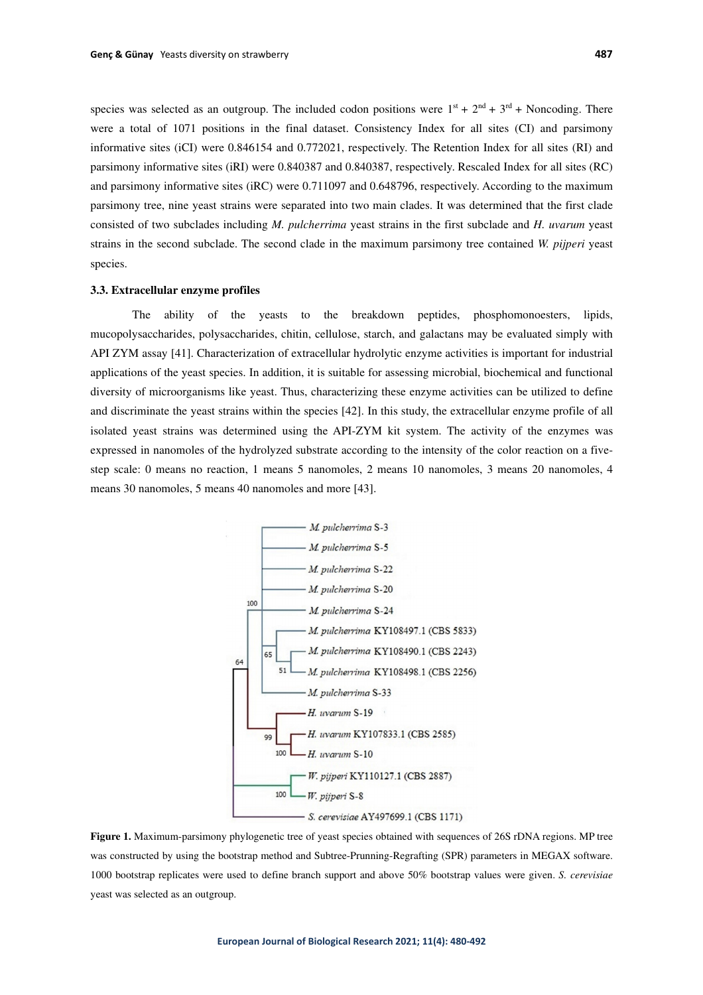species was selected as an outgroup. The included codon positions were  $1<sup>st</sup> + 2<sup>nd</sup> + 3<sup>rd</sup> + Noncoding$ . There were a total of 1071 positions in the final dataset. Consistency Index for all sites (CI) and parsimony informative sites (iCI) were 0.846154 and 0.772021, respectively. The Retention Index for all sites (RI) and parsimony informative sites (iRI) were 0.840387 and 0.840387, respectively. Rescaled Index for all sites (RC) and parsimony informative sites (iRC) were 0.711097 and 0.648796, respectively. According to the maximum parsimony tree, nine yeast strains were separated into two main clades. It was determined that the first clade consisted of two subclades including *M. pulcherrima* yeast strains in the first subclade and *H. uvarum* yeast strains in the second subclade. The second clade in the maximum parsimony tree contained *W. pijperi* yeast species.

### **3.3. Extracellular enzyme profiles**

The ability of the yeasts to the breakdown peptides, phosphomonoesters, lipids, mucopolysaccharides, polysaccharides, chitin, cellulose, starch, and galactans may be evaluated simply with API ZYM assay [41]. Characterization of extracellular hydrolytic enzyme activities is important for industrial applications of the yeast species. In addition, it is suitable for assessing microbial, biochemical and functional diversity of microorganisms like yeast. Thus, characterizing these enzyme activities can be utilized to define and discriminate the yeast strains within the species [42]. In this study, the extracellular enzyme profile of all isolated yeast strains was determined using the API-ZYM kit system. The activity of the enzymes was expressed in nanomoles of the hydrolyzed substrate according to the intensity of the color reaction on a fivestep scale: 0 means no reaction, 1 means 5 nanomoles, 2 means 10 nanomoles, 3 means 20 nanomoles, 4 means 30 nanomoles, 5 means 40 nanomoles and more [43].



**Figure 1.** Maximum-parsimony phylogenetic tree of yeast species obtained with sequences of 26S rDNA regions. MP tree was constructed by using the bootstrap method and Subtree-Prunning-Regrafting (SPR) parameters in MEGAX software. 1000 bootstrap replicates were used to define branch support and above 50% bootstrap values were given. *S. cerevisiae* yeast was selected as an outgroup.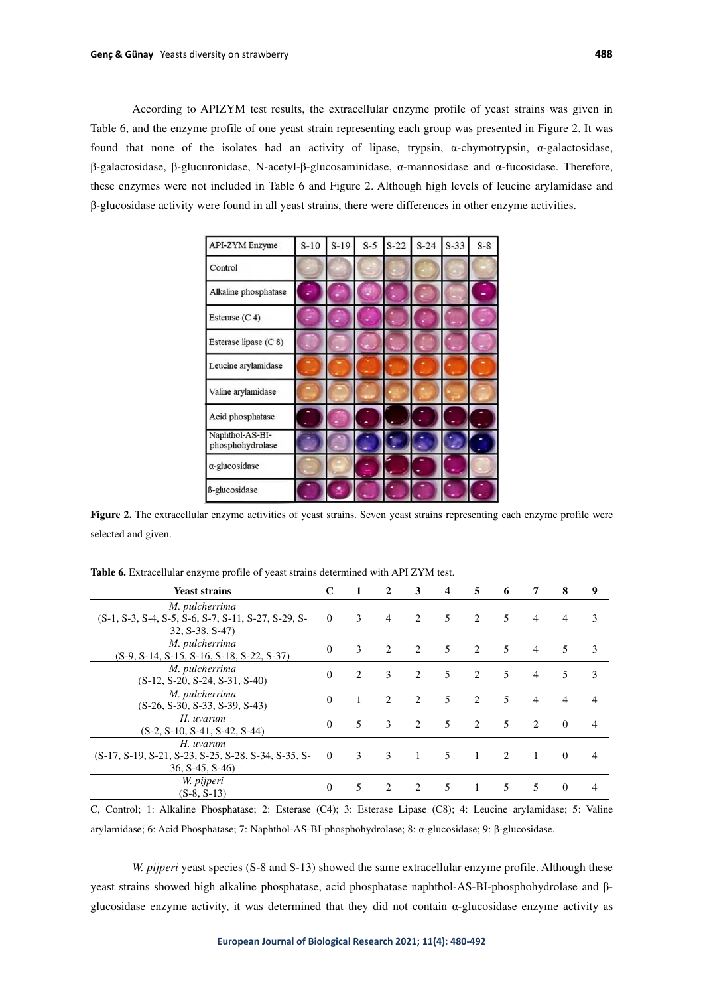According to APIZYM test results, the extracellular enzyme profile of yeast strains was given in Table 6, and the enzyme profile of one yeast strain representing each group was presented in Figure 2. It was found that none of the isolates had an activity of lipase, trypsin, α-chymotrypsin, α-galactosidase, β-galactosidase, β-glucuronidase, N-acetyl-β-glucosaminidase, α-mannosidase and α-fucosidase. Therefore, these enzymes were not included in Table 6 and Figure 2. Although high levels of leucine arylamidase and β-glucosidase activity were found in all yeast strains, there were differences in other enzyme activities.

| API-ZYM Enzyme                      | $S-10$ | $S-19$ | $S-5$ | $S-22$ | $S-24$ | $S-33$ | $S-8$ |
|-------------------------------------|--------|--------|-------|--------|--------|--------|-------|
| Control                             |        |        |       |        |        |        |       |
| Alkaline phosphatase                |        |        |       |        |        |        |       |
| Esterase (C 4)                      |        |        |       |        |        |        |       |
| Esterase lipase (C 8)               |        |        |       |        |        |        |       |
| Leucine arylamidase                 |        |        |       |        |        |        |       |
| Valine arylamidase                  |        |        |       |        |        |        |       |
| Acid phosphatase                    |        |        |       |        |        |        |       |
| Naphthol-AS-BI-<br>phosphohydrolase |        |        |       |        |        |        |       |
| $\alpha$ -glucosidase               |        |        |       |        |        |        |       |
| ß-glucosidase                       |        |        |       |        |        |        |       |

**Figure 2.** The extracellular enzyme activities of yeast strains. Seven yeast strains representing each enzyme profile were selected and given.

| <b>Yeast strains</b>                                                                      | $\mathbf C$    | $\mathbf{1}$   | $\mathbf{2}$   | 3                             | 4 | 5                             | 6             | 7              | 8        | 9              |
|-------------------------------------------------------------------------------------------|----------------|----------------|----------------|-------------------------------|---|-------------------------------|---------------|----------------|----------|----------------|
| M. pulcherrima<br>(S-1, S-3, S-4, S-5, S-6, S-7, S-11, S-27, S-29, S-<br>$32, S-38, S-47$ | $\overline{0}$ | 3              | $\overline{4}$ | $\mathfrak{D}$                | 5 | 2                             | 5             | $\overline{4}$ | 4        | 3              |
| M. pulcherrima<br>$(S-9, S-14, S-15, S-16, S-18, S-22, S-37)$                             | $\theta$       | 3              | $\mathfrak{D}$ | $\mathfrak{D}$                | 5 | 2                             | 5             | $\overline{4}$ | 5        | 3              |
| M. pulcherrima<br>$(S-12, S-20, S-24, S-31, S-40)$                                        | $\Omega$       | $\mathfrak{D}$ | 3              | $\mathfrak{D}$                | 5 | $\mathfrak{D}_{\mathfrak{p}}$ | 5             | $\overline{4}$ | 5        | 3              |
| M. pulcherrima<br>$(S-26, S-30, S-33, S-39, S-43)$                                        | $\Omega$       | 1              | $\mathcal{L}$  | $\mathfrak{D}$                | 5 | $\mathfrak{D}$                | 5             | 4              | 4        | $\overline{4}$ |
| H. uvarum<br>$(S-2, S-10, S-41, S-42, S-44)$                                              | $\theta$       | 5              | $\mathcal{E}$  | $\mathfrak{D}_{\mathfrak{p}}$ | 5 | 2                             | 5             | 2              | $\Omega$ | $\overline{4}$ |
| H. uvarum<br>(S-17, S-19, S-21, S-23, S-25, S-28, S-34, S-35, S-<br>$36, S-45, S-46$      | $\overline{0}$ | 3              | $\mathcal{E}$  | $\mathbf{1}$                  | 5 | $\mathbf{1}$                  | $\mathcal{L}$ | $\overline{1}$ | $\Omega$ | $\overline{4}$ |
| W. pijperi<br>$(S-8, S-13)$                                                               | $\theta$       | 5              | $\mathfrak{D}$ | $\mathfrak{D}_{\mathfrak{p}}$ | 5 | 1                             | 5             | 5.             | $\theta$ | 4              |

**Table 6.** Extracellular enzyme profile of yeast strains determined with API ZYM test.

C, Control; 1: Alkaline Phosphatase; 2: Esterase (C4); 3: Esterase Lipase (C8); 4: Leucine arylamidase; 5: Valine arylamidase; 6: Acid Phosphatase; 7: Naphthol-AS-BI-phosphohydrolase; 8: α-glucosidase; 9: β-glucosidase.

*W. pijperi* yeast species (S-8 and S-13) showed the same extracellular enzyme profile. Although these yeast strains showed high alkaline phosphatase, acid phosphatase naphthol-AS-BI-phosphohydrolase and βglucosidase enzyme activity, it was determined that they did not contain α-glucosidase enzyme activity as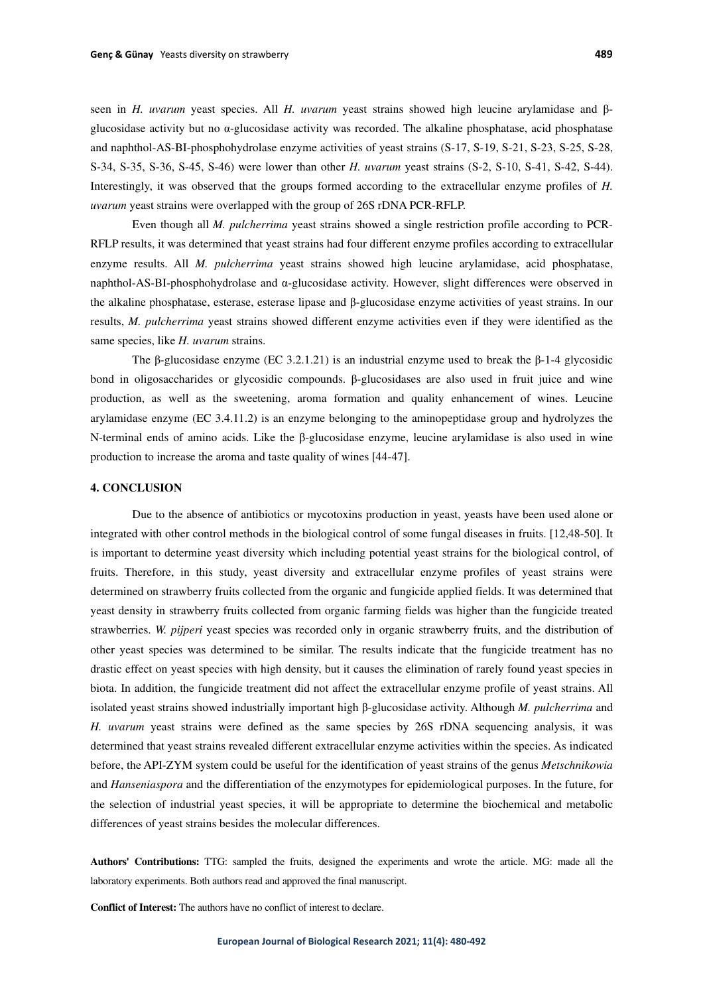seen in *H. uvarum* yeast species. All *H. uvarum* yeast strains showed high leucine arylamidase and βglucosidase activity but no α-glucosidase activity was recorded. The alkaline phosphatase, acid phosphatase and naphthol-AS-BI-phosphohydrolase enzyme activities of yeast strains (S-17, S-19, S-21, S-23, S-25, S-28, S-34, S-35, S-36, S-45, S-46) were lower than other *H. uvarum* yeast strains (S-2, S-10, S-41, S-42, S-44). Interestingly, it was observed that the groups formed according to the extracellular enzyme profiles of *H. uvarum* yeast strains were overlapped with the group of 26S rDNA PCR-RFLP.

Even though all *M. pulcherrima* yeast strains showed a single restriction profile according to PCR-RFLP results, it was determined that yeast strains had four different enzyme profiles according to extracellular enzyme results. All *M. pulcherrima* yeast strains showed high leucine arylamidase, acid phosphatase, naphthol-AS-BI-phosphohydrolase and α-glucosidase activity. However, slight differences were observed in the alkaline phosphatase, esterase, esterase lipase and β-glucosidase enzyme activities of yeast strains. In our results, *M. pulcherrima* yeast strains showed different enzyme activities even if they were identified as the same species, like *H. uvarum* strains.

The β-glucosidase enzyme (EC 3.2.1.21) is an industrial enzyme used to break the β-1-4 glycosidic bond in oligosaccharides or glycosidic compounds. β-glucosidases are also used in fruit juice and wine production, as well as the sweetening, aroma formation and quality enhancement of wines. Leucine arylamidase enzyme (EC 3.4.11.2) is an enzyme belonging to the aminopeptidase group and hydrolyzes the N-terminal ends of amino acids. Like the β-glucosidase enzyme, leucine arylamidase is also used in wine production to increase the aroma and taste quality of wines [44-47].

# **4. CONCLUSION**

Due to the absence of antibiotics or mycotoxins production in yeast, yeasts have been used alone or integrated with other control methods in the biological control of some fungal diseases in fruits. [12,48-50]. It is important to determine yeast diversity which including potential yeast strains for the biological control, of fruits. Therefore, in this study, yeast diversity and extracellular enzyme profiles of yeast strains were determined on strawberry fruits collected from the organic and fungicide applied fields. It was determined that yeast density in strawberry fruits collected from organic farming fields was higher than the fungicide treated strawberries. *W. pijperi* yeast species was recorded only in organic strawberry fruits, and the distribution of other yeast species was determined to be similar. The results indicate that the fungicide treatment has no drastic effect on yeast species with high density, but it causes the elimination of rarely found yeast species in biota. In addition, the fungicide treatment did not affect the extracellular enzyme profile of yeast strains. All isolated yeast strains showed industrially important high β-glucosidase activity. Although *M. pulcherrima* and *H. uvarum* yeast strains were defined as the same species by 26S rDNA sequencing analysis, it was determined that yeast strains revealed different extracellular enzyme activities within the species. As indicated before, the API-ZYM system could be useful for the identification of yeast strains of the genus *Metschnikowia* and *Hanseniaspora* and the differentiation of the enzymotypes for epidemiological purposes. In the future, for the selection of industrial yeast species, it will be appropriate to determine the biochemical and metabolic differences of yeast strains besides the molecular differences.

**Authors' Contributions:** TTG: sampled the fruits, designed the experiments and wrote the article. MG: made all the laboratory experiments. Both authors read and approved the final manuscript.

**Conflict of Interest:** The authors have no conflict of interest to declare.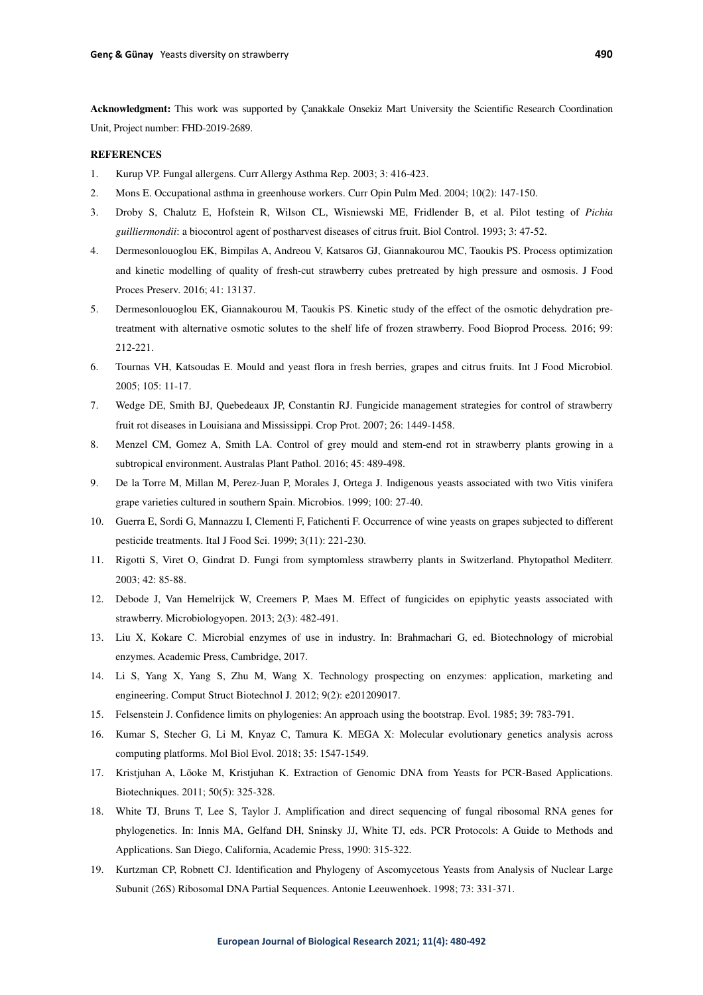**Acknowledgment:** This work was supported by Çanakkale Onsekiz Mart University the Scientific Research Coordination Unit, Project number: FHD-2019-2689.

### **REFERENCES**

- 1. Kurup VP. Fungal allergens. Curr Allergy Asthma Rep. 2003; 3: 416-423.
- 2. Mons E. Occupational asthma in greenhouse workers. Curr Opin Pulm Med. 2004; 10(2): 147-150.
- 3. Droby S, Chalutz E, Hofstein R, Wilson CL, Wisniewski ME, Fridlender B, et al. Pilot testing of *Pichia guilliermondii*: a biocontrol agent of postharvest diseases of citrus fruit. Biol Control. 1993; 3: 47-52.
- 4. Dermesonlouoglou EK, Bimpilas A, Andreou V, Katsaros GJ, Giannakourou MC, Taoukis PS. Process optimization and kinetic modelling of quality of fresh-cut strawberry cubes pretreated by high pressure and osmosis. J Food Proces Preserv. 2016; 41: 13137.
- 5. Dermesonlouoglou EK, Giannakourou M, Taoukis PS. Kinetic study of the effect of the osmotic dehydration pretreatment with alternative osmotic solutes to the shelf life of frozen strawberry. Food Bioprod Process*.* 2016; 99: 212-221.
- 6. Tournas VH, Katsoudas E. Mould and yeast flora in fresh berries, grapes and citrus fruits. Int J Food Microbiol. 2005; 105: 11-17.
- 7. Wedge DE, Smith BJ, Quebedeaux JP, Constantin RJ. Fungicide management strategies for control of strawberry fruit rot diseases in Louisiana and Mississippi. Crop Prot. 2007; 26: 1449-1458.
- 8. Menzel CM, Gomez A, Smith LA. Control of grey mould and stem-end rot in strawberry plants growing in a subtropical environment. Australas Plant Pathol. 2016; 45: 489-498.
- 9. De la Torre M, Millan M, Perez-Juan P, Morales J, Ortega J. Indigenous yeasts associated with two Vitis vinifera grape varieties cultured in southern Spain. Microbios. 1999; 100: 27-40.
- 10. Guerra E, Sordi G, Mannazzu I, Clementi F, Fatichenti F. Occurrence of wine yeasts on grapes subjected to different pesticide treatments. Ital J Food Sci. 1999; 3(11): 221-230.
- 11. Rigotti S, Viret O, Gindrat D. Fungi from symptomless strawberry plants in Switzerland. Phytopathol Mediterr. 2003; 42: 85-88.
- 12. Debode J, Van Hemelrijck W, Creemers P, Maes M. Effect of fungicides on epiphytic yeasts associated with strawberry. Microbiologyopen. 2013; 2(3): 482-491.
- 13. Liu X, Kokare C. Microbial enzymes of use in industry. In: Brahmachari G, ed. Biotechnology of microbial enzymes. Academic Press, Cambridge, 2017.
- 14. Li S, Yang X, Yang S, Zhu M, Wang X. Technology prospecting on enzymes: application, marketing and engineering. Comput Struct Biotechnol J. 2012; 9(2): e201209017.
- 15. Felsenstein J. Confidence limits on phylogenies: An approach using the bootstrap. Evol. 1985; 39: 783-791.
- 16. Kumar S, Stecher G, Li M, Knyaz C, Tamura K. MEGA X: Molecular evolutionary genetics analysis across computing platforms. Mol Biol Evol. 2018; 35: 1547-1549.
- 17. Kristjuhan A, Lõoke M, Kristjuhan K. Extraction of Genomic DNA from Yeasts for PCR-Based Applications. Biotechniques. 2011; 50(5): 325-328.
- 18. White TJ, Bruns T, Lee S, Taylor J. Amplification and direct sequencing of fungal ribosomal RNA genes for phylogenetics. In: Innis MA, Gelfand DH, Sninsky JJ, White TJ, eds. PCR Protocols: A Guide to Methods and Applications. San Diego, California, Academic Press, 1990: 315-322.
- 19. Kurtzman CP, Robnett CJ. Identification and Phylogeny of Ascomycetous Yeasts from Analysis of Nuclear Large Subunit (26S) Ribosomal DNA Partial Sequences. Antonie Leeuwenhoek. 1998; 73: 331-371.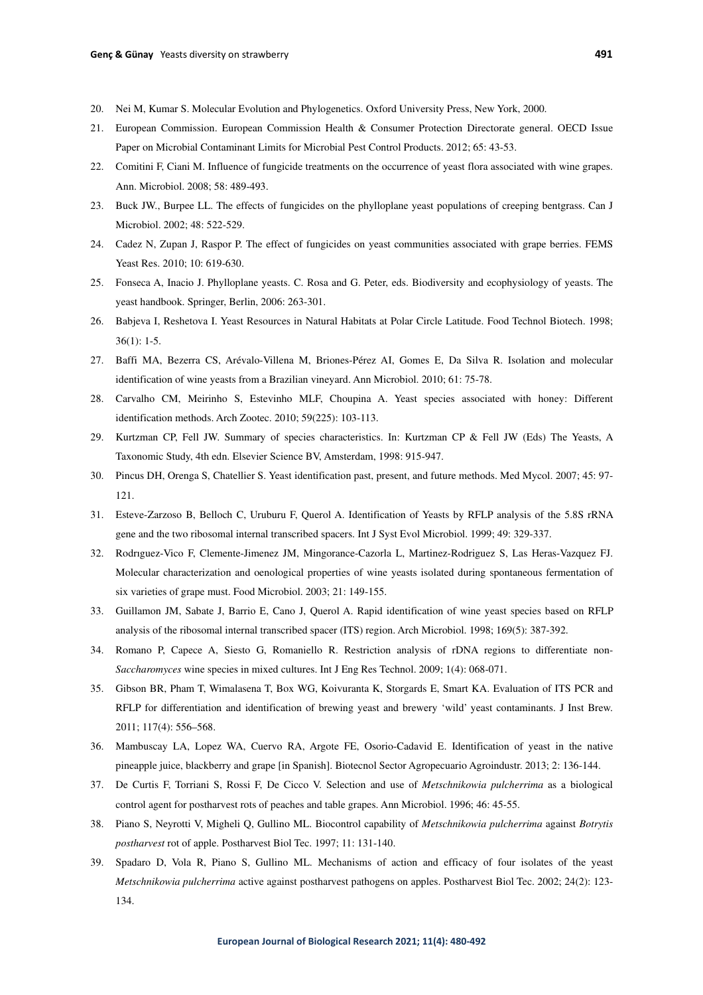- 20. Nei M, Kumar S. Molecular Evolution and Phylogenetics. Oxford University Press, New York, 2000.
- 21. European Commission. European Commission Health & Consumer Protection Directorate general. OECD Issue Paper on Microbial Contaminant Limits for Microbial Pest Control Products. 2012; 65: 43-53.
- 22. Comitini F, Ciani M. Influence of fungicide treatments on the occurrence of yeast flora associated with wine grapes. Ann. Microbiol. 2008; 58: 489-493.
- 23. Buck JW., Burpee LL. The effects of fungicides on the phylloplane yeast populations of creeping bentgrass. Can J Microbiol. 2002; 48: 522-529.
- 24. Cadez N, Zupan J, Raspor P. The effect of fungicides on yeast communities associated with grape berries. FEMS Yeast Res. 2010; 10: 619-630.
- 25. Fonseca A, Inacio J. Phylloplane yeasts. C. Rosa and G. Peter, eds. Biodiversity and ecophysiology of yeasts. The yeast handbook. Springer, Berlin, 2006: 263-301.
- 26. Babjeva I, Reshetova I. Yeast Resources in Natural Habitats at Polar Circle Latitude. Food Technol Biotech. 1998; 36(1): 1-5.
- 27. Baffi MA, Bezerra CS, Arévalo-Villena M, Briones-Pérez AI, Gomes E, Da Silva R. Isolation and molecular identification of wine yeasts from a Brazilian vineyard. Ann Microbiol. 2010; 61: 75-78.
- 28. Carvalho CM, Meirinho S, Estevinho MLF, Choupina A. Yeast species associated with honey: Different identification methods. Arch Zootec. 2010; 59(225): 103-113.
- 29. Kurtzman CP, Fell JW. Summary of species characteristics. In: Kurtzman CP & Fell JW (Eds) The Yeasts, A Taxonomic Study, 4th edn. Elsevier Science BV, Amsterdam, 1998: 915-947.
- 30. Pincus DH, Orenga S, Chatellier S. Yeast identification past, present, and future methods. Med Mycol. 2007; 45: 97- 121.
- 31. Esteve-Zarzoso B, Belloch C, Uruburu F, Querol A. Identification of Yeasts by RFLP analysis of the 5.8S rRNA gene and the two ribosomal internal transcribed spacers. Int J Syst Evol Microbiol. 1999; 49: 329-337.
- 32. Rodrıguez-Vico F, Clemente-Jimenez JM, Mingorance-Cazorla L, Martinez-Rodriguez S, Las Heras-Vazquez FJ. Molecular characterization and oenological properties of wine yeasts isolated during spontaneous fermentation of six varieties of grape must. Food Microbiol. 2003; 21: 149-155.
- 33. Guillamon JM, Sabate J, Barrio E, Cano J, Querol A. Rapid identification of wine yeast species based on RFLP analysis of the ribosomal internal transcribed spacer (ITS) region. Arch Microbiol. 1998; 169(5): 387-392.
- 34. Romano P, Capece A, Siesto G, Romaniello R. Restriction analysis of rDNA regions to differentiate non-*Saccharomyces* wine species in mixed cultures. Int J Eng Res Technol. 2009; 1(4): 068-071.
- 35. Gibson BR, Pham T, Wimalasena T, Box WG, Koivuranta K, Storgards E, Smart KA. Evaluation of ITS PCR and RFLP for differentiation and identification of brewing yeast and brewery 'wild' yeast contaminants. J Inst Brew. 2011; 117(4): 556–568.
- 36. Mambuscay LA, Lopez WA, Cuervo RA, Argote FE, Osorio-Cadavid E. Identification of yeast in the native pineapple juice, blackberry and grape [in Spanish]. Biotecnol Sector Agropecuario Agroindustr. 2013; 2: 136-144.
- 37. De Curtis F, Torriani S, Rossi F, De Cicco V. Selection and use of *Metschnikowia pulcherrima* as a biological control agent for postharvest rots of peaches and table grapes. Ann Microbiol. 1996; 46: 45-55.
- 38. Piano S, Neyrotti V, Migheli Q, Gullino ML. Biocontrol capability of *Metschnikowia pulcherrima* against *Botrytis postharvest* rot of apple. Postharvest Biol Tec. 1997; 11: 131-140.
- 39. Spadaro D, Vola R, Piano S, Gullino ML. Mechanisms of action and efficacy of four isolates of the yeast *Metschnikowia pulcherrima* active against postharvest pathogens on apples. Postharvest Biol Tec. 2002; 24(2): 123- 134.